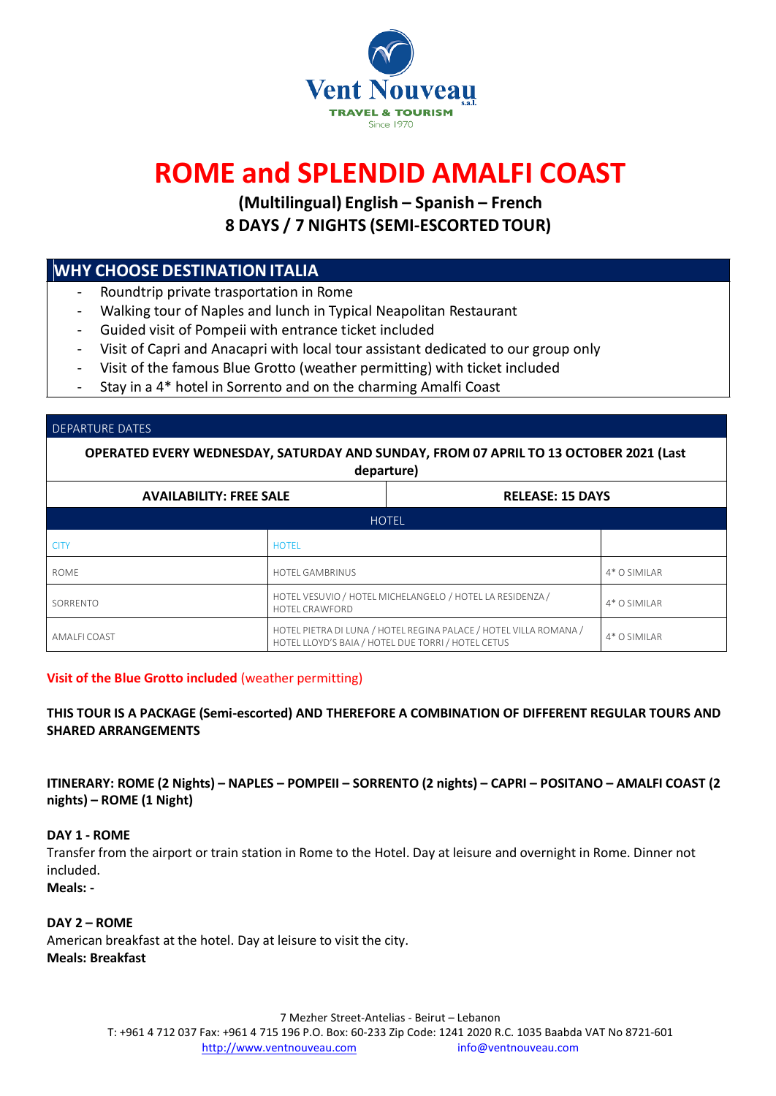

# **ROME and SPLENDID AMALFI COAST**

**(Multilingual) English – Spanish – French 8 DAYS / 7 NIGHTS (SEMI-ESCORTEDTOUR)**

# **WHY CHOOSE DESTINATIONITALIA**

- Roundtrip private trasportation in Rome
- Walking tour of Naples and lunch in Typical Neapolitan Restaurant
- Guided visit of Pompeii with entrance ticket included
- Visit of Capri and Anacapri with local tour assistant dedicated to our group only
- Visit of the famous Blue Grotto (weather permitting) with ticket included
- Stay in a 4\* hotel in Sorrento and on the charming Amalfi Coast

#### DEPARTURE DATES

**OPERATED EVERY WEDNESDAY, SATURDAY AND SUNDAY, FROM 07 APRIL TO 13 OCTOBER 2021 (Last departure) AVAILABILITY: FREE SALE RELEASE: 15 DAYS HOTEL** T

| <b>CITY</b>  | <b>HOTFI</b>                                                                                                            |                |
|--------------|-------------------------------------------------------------------------------------------------------------------------|----------------|
| <b>ROME</b>  | <b>HOTEL GAMBRINUS</b>                                                                                                  | 4* O SIMILAR   |
| SORRENTO     | HOTEL VESUVIO / HOTEL MICHELANGELO / HOTEL LA RESIDENZA /<br><b>HOTEL CRAWFORD</b>                                      | $4*$ O SIMILAR |
| AMALFI COAST | HOTEL PIETRA DI LUNA / HOTEL REGINA PALACE / HOTEL VILLA ROMANA /<br>HOTEL LLOYD'S BAIA / HOTEL DUE TORRI / HOTEL CETUS | 4* O SIMILAR   |

#### **Visit of the Blue Grotto included** (weather permitting)

## **THIS TOUR IS A PACKAGE (Semi-escorted) AND THEREFORE A COMBINATION OF DIFFERENT REGULAR TOURS AND SHARED ARRANGEMENTS**

ITINERARY: ROME (2 Nights) - NAPLES - POMPEII - SORRENTO (2 nights) - CAPRI - POSITANO - AMALFI COAST (2 **nights) – ROME (1 Night)**

## **DAY 1 - ROME**

Transfer from the airport or train station in Rome to the Hotel. Day at leisure and overnight in Rome. Dinner not included.

## **Meals: -**

**DAY 2 – ROME** American breakfast at the hotel. Day at leisure to visit the city. **Meals: Breakfast**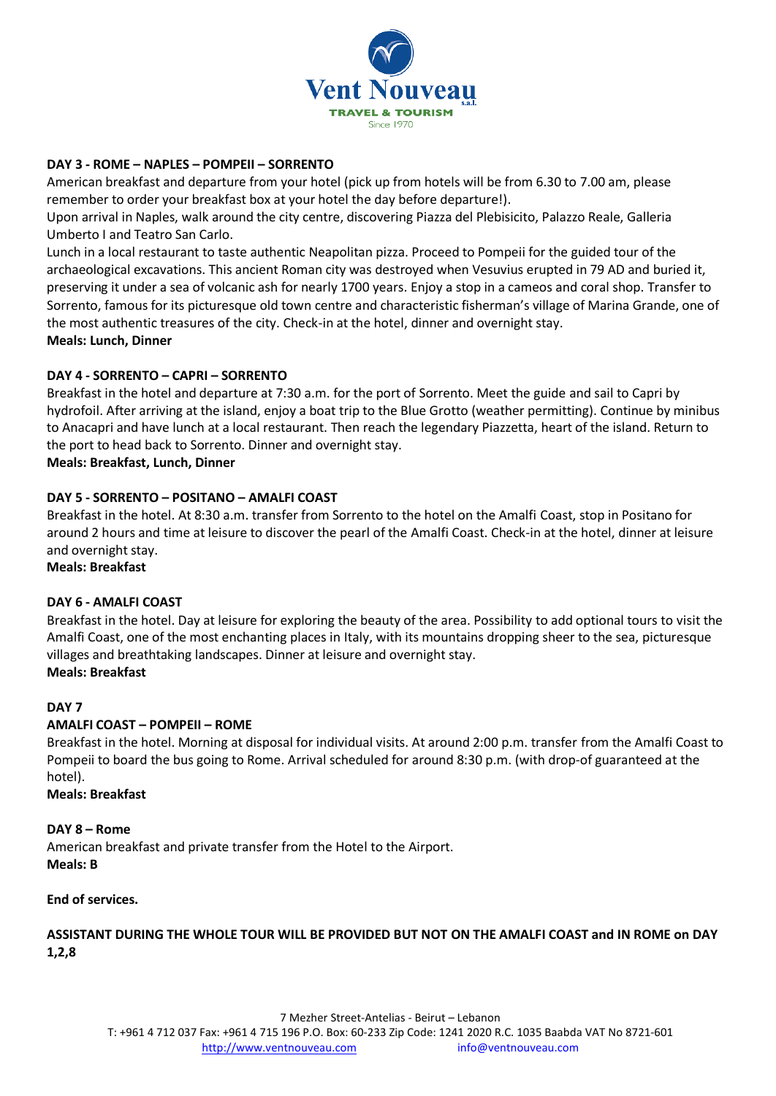

## **DAY 3 - ROME – NAPLES – POMPEII – SORRENTO**

American breakfast and departure from your hotel (pick up from hotels will be from 6.30 to 7.00 am, please remember to order your breakfast box at your hotel the day before departure!).

Upon arrival in Naples, walk around the city centre, discovering Piazza del Plebisicito, Palazzo Reale, Galleria Umberto I and Teatro San Carlo.

Lunch in a local restaurant to taste authentic Neapolitan pizza. Proceed to Pompeii for the guided tour of the archaeological excavations. This ancient Roman city was destroyed when Vesuvius erupted in 79 AD and buried it, preserving it under a sea of volcanic ash for nearly 1700 years. Enjoy a stop in a cameos and coral shop. Transfer to Sorrento, famous for its picturesque old town centre and characteristic fisherman's village of Marina Grande, one of the most authentic treasures of the city. Check-in at the hotel, dinner and overnight stay. **Meals: Lunch, Dinner**

## **DAY 4 - SORRENTO – CAPRI – SORRENTO**

Breakfast in the hotel and departure at 7:30 a.m. for the port of Sorrento. Meet the guide and sail to Capri by hydrofoil. After arriving at the island, enjoy a boat trip to the Blue Grotto (weather permitting). Continue by minibus to Anacapri and have lunch at a local restaurant. Then reach the legendary Piazzetta, heart of the island. Return to the port to head back to Sorrento. Dinner and overnight stay.

**Meals: Breakfast, Lunch, Dinner**

## **DAY 5 - SORRENTO – POSITANO – AMALFI COAST**

Breakfast in the hotel. At 8:30 a.m. transfer from Sorrento to the hotel on the Amalfi Coast, stop in Positano for around 2 hours and time at leisure to discover the pearl of the Amalfi Coast. Check-in at the hotel, dinner at leisure and overnight stay.

**Meals: Breakfast**

## **DAY 6 - AMALFI COAST**

Breakfast in the hotel. Day at leisure for exploring the beauty of the area. Possibility to add optional tours to visit the Amalfi Coast, one of the most enchanting places in Italy, with its mountains dropping sheer to the sea, picturesque villages and breathtaking landscapes. Dinner at leisure and overnight stay.

## **Meals: Breakfast**

## **DAY 7**

## **AMALFI COAST – POMPEII – ROME**

Breakfast in the hotel. Morning at disposal for individual visits. At around 2:00 p.m. transfer from the Amalfi Coast to Pompeii to board the bus going to Rome. Arrival scheduled for around 8:30 p.m. (with drop-of guaranteed at the hotel).

## **Meals: Breakfast**

## **DAY 8 – Rome**

American breakfast and private transfer from the Hotel to the Airport. **Meals: B**

## **End of services.**

**ASSISTANT DURING THE WHOLE TOUR WILL BE PROVIDED BUT NOT ON THE AMALFI COAST and IN ROME on DAY 1,2,8**